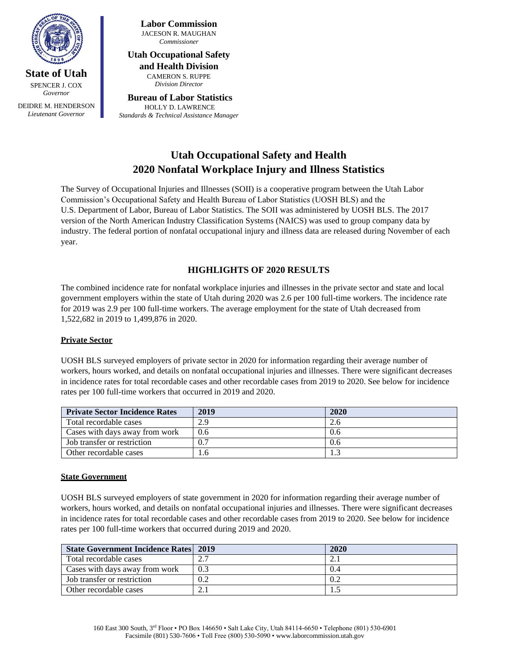

**State of Utah** SPENCER J. COX *Governor*

DEIDRE M. HENDERSON *Lieutenant Governor*

**Labor Commission** JACESON R. MAUGHAN *Commissioner*

# **Utah Occupational Safety**

**and Health Division** CAMERON S. RUPPE *Division Director*

#### **Bureau of Labor Statistics** HOLLY D. LAWRENCE *Standards & Technical Assistance Manager*

## **Utah Occupational Safety and Health 2020 Nonfatal Workplace Injury and Illness Statistics**

The Survey of Occupational Injuries and Illnesses (SOII) is a cooperative program between the Utah Labor Commission's Occupational Safety and Health Bureau of Labor Statistics (UOSH BLS) and the U.S. Department of Labor, Bureau of Labor Statistics. The SOII was administered by UOSH BLS. The 2017 version of the North American Industry Classification Systems (NAICS) was used to group company data by industry. The federal portion of nonfatal occupational injury and illness data are released during November of each year.

## **HIGHLIGHTS OF 2020 RESULTS**

The combined incidence rate for nonfatal workplace injuries and illnesses in the private sector and state and local government employers within the state of Utah during 2020 was 2.6 per 100 full-time workers. The incidence rate for 2019 was 2.9 per 100 full-time workers. The average employment for the state of Utah decreased from 1,522,682 in 2019 to 1,499,876 in 2020.

## **Private Sector**

UOSH BLS surveyed employers of private sector in 2020 for information regarding their average number of workers, hours worked, and details on nonfatal occupational injuries and illnesses. There were significant decreases in incidence rates for total recordable cases and other recordable cases from 2019 to 2020. See below for incidence rates per 100 full-time workers that occurred in 2019 and 2020.

| <b>Private Sector Incidence Rates</b> | 2019 | 2020 |
|---------------------------------------|------|------|
| Total recordable cases                | 2.9  | 2.0  |
| Cases with days away from work        | 0.6  | 0.6  |
| Job transfer or restriction           | 0.7  | 0.6  |
| Other recordable cases                |      |      |

## **State Government**

UOSH BLS surveyed employers of state government in 2020 for information regarding their average number of workers, hours worked, and details on nonfatal occupational injuries and illnesses. There were significant decreases in incidence rates for total recordable cases and other recordable cases from 2019 to 2020. See below for incidence rates per 100 full-time workers that occurred during 2019 and 2020.

| <b>State Government Incidence Rates 2019</b> |     | 2020 |
|----------------------------------------------|-----|------|
| Total recordable cases                       | ∼.  |      |
| Cases with days away from work               | 0.3 | 0.4  |
| Job transfer or restriction                  | 0.2 |      |
| Other recordable cases                       |     |      |